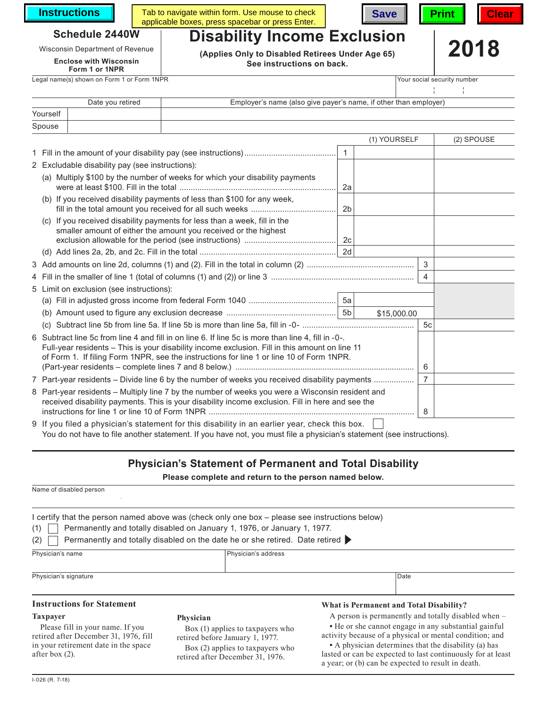**Instructions** Table

| Tab to navigate within form. Use mouse to check  |  | Save   Print   Clear |  |
|--------------------------------------------------|--|----------------------|--|
| applicable boxes, press spacebar or press Enter. |  |                      |  |





#### **Schedule 2440W Disability Income Exclusion**

**Enclose with Wisconsin Form 1 or 1NPR**

### Legal name(s) shown on Form 1 or Form 1NPR Your social security number

Wisconsin Department of Revenue **2018**<br> **Enclose with Wisconsin See instructions on back.**

| 2018 |  |
|------|--|
|------|--|

| Date you retired |  | Employer's name (also give payer's name, if other than employer) |  |  |  |  |
|------------------|--|------------------------------------------------------------------|--|--|--|--|
| Yourself         |  |                                                                  |  |  |  |  |
| Spouse           |  |                                                                  |  |  |  |  |

|                                                                                                                                                                                                                                                                                                  |                                                                                                                                              |                | (1) YOURSELF |                | (2) SPOUSE |
|--------------------------------------------------------------------------------------------------------------------------------------------------------------------------------------------------------------------------------------------------------------------------------------------------|----------------------------------------------------------------------------------------------------------------------------------------------|----------------|--------------|----------------|------------|
|                                                                                                                                                                                                                                                                                                  |                                                                                                                                              |                |              |                |            |
|                                                                                                                                                                                                                                                                                                  | 2 Excludable disability pay (see instructions):                                                                                              |                |              |                |            |
|                                                                                                                                                                                                                                                                                                  | (a) Multiply \$100 by the number of weeks for which your disability payments                                                                 | 2a             |              |                |            |
|                                                                                                                                                                                                                                                                                                  | (b) If you received disability payments of less than \$100 for any week,                                                                     | 2 <sub>b</sub> |              |                |            |
|                                                                                                                                                                                                                                                                                                  | (c) If you received disability payments for less than a week, fill in the<br>smaller amount of either the amount you received or the highest |                |              |                |            |
|                                                                                                                                                                                                                                                                                                  |                                                                                                                                              |                |              |                |            |
|                                                                                                                                                                                                                                                                                                  |                                                                                                                                              |                |              | 3              |            |
|                                                                                                                                                                                                                                                                                                  |                                                                                                                                              |                |              | $\overline{4}$ |            |
| 5 Limit on exclusion (see instructions):                                                                                                                                                                                                                                                         |                                                                                                                                              |                |              |                |            |
|                                                                                                                                                                                                                                                                                                  |                                                                                                                                              |                |              |                |            |
|                                                                                                                                                                                                                                                                                                  |                                                                                                                                              |                | \$15,000.00  |                |            |
|                                                                                                                                                                                                                                                                                                  | (c)                                                                                                                                          |                |              | 5c             |            |
| 6 Subtract line 5c from line 4 and fill in on line 6. If line 5c is more than line 4, fill in -0-.<br>Full-year residents - This is your disability income exclusion. Fill in this amount on line 11<br>of Form 1. If filing Form 1NPR, see the instructions for line 1 or line 10 of Form 1NPR. |                                                                                                                                              |                |              | 6              |            |
| 7 Part-year residents – Divide line 6 by the number of weeks you received disability payments                                                                                                                                                                                                    |                                                                                                                                              |                |              | $\overline{7}$ |            |
| 8 Part-year residents - Multiply line 7 by the number of weeks you were a Wisconsin resident and<br>received disability payments. This is your disability income exclusion. Fill in here and see the                                                                                             |                                                                                                                                              |                |              | 8              |            |
|                                                                                                                                                                                                                                                                                                  | 9 If you filed a physician's statement for this disability in an earlier year, check this box.                                               |                |              |                |            |

You do not have to file another statement. If you have not, you must file a physician's statement (see instructions).

## **Physician's Statement of Permanent and Total Disability**

**Please complete and return to the person named below.**

| Name of disabled person                                                                                                                                                                                                                                                    |                                                                                                         |                                                                                                                                                                         |
|----------------------------------------------------------------------------------------------------------------------------------------------------------------------------------------------------------------------------------------------------------------------------|---------------------------------------------------------------------------------------------------------|-------------------------------------------------------------------------------------------------------------------------------------------------------------------------|
| I certify that the person named above was (check only one box – please see instructions below)<br>Permanently and totally disabled on January 1, 1976, or January 1, 1977.<br>(1)<br>Permanently and totally disabled on the date he or she retired. Date retired ><br>(2) |                                                                                                         |                                                                                                                                                                         |
| Physician's name                                                                                                                                                                                                                                                           |                                                                                                         | Physician's address                                                                                                                                                     |
| Physician's signature                                                                                                                                                                                                                                                      |                                                                                                         | Date                                                                                                                                                                    |
| <b>Instructions for Statement</b>                                                                                                                                                                                                                                          |                                                                                                         | What is Permanent and Total Disability?                                                                                                                                 |
| <b>Taxpayer</b>                                                                                                                                                                                                                                                            | Physician                                                                                               | A person is permanently and totally disabled when –                                                                                                                     |
| Please fill in your name. If you<br>retired after December 31, 1976, fill<br>in your retirement date in the space                                                                                                                                                          | Box (1) applies to taxpayers who<br>retired before January 1, 1977.<br>Box (2) applies to taxpayers who | • He or she cannot engage in any substantial gainful<br>activity because of a physical or mental condition; and<br>• A physician determines that the disability (a) has |

Box (2) applies to taxpayers who retired after December 31, 1976.

**•** A physician determines that the disability (a) has lasted or can be expected to last continuously for at least a year; or (b) can be expected to result in death.

after box (2).